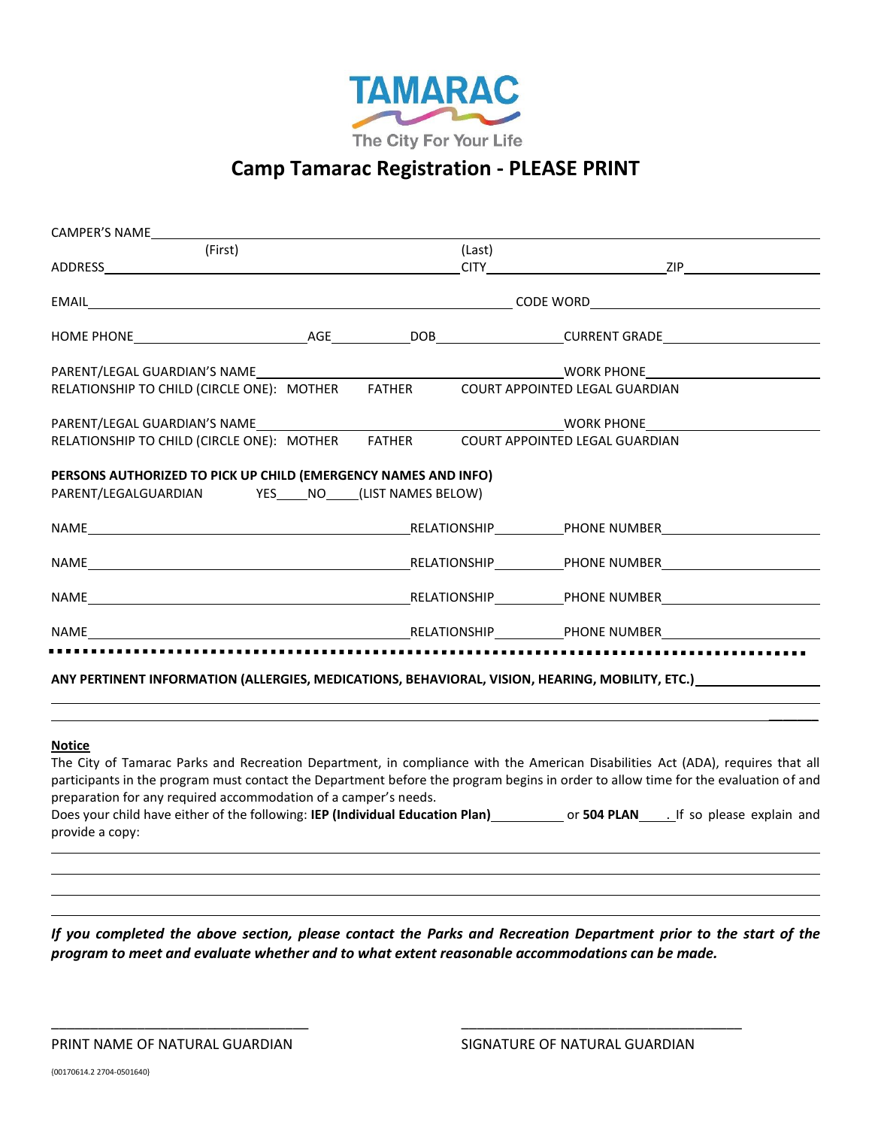

## **Camp Tamarac Registration - PLEASE PRINT**

| (First)                                                                                                                | (Last) |  |  |                                                                                                                |  |
|------------------------------------------------------------------------------------------------------------------------|--------|--|--|----------------------------------------------------------------------------------------------------------------|--|
|                                                                                                                        |        |  |  |                                                                                                                |  |
|                                                                                                                        |        |  |  |                                                                                                                |  |
|                                                                                                                        |        |  |  |                                                                                                                |  |
| RELATIONSHIP TO CHILD (CIRCLE ONE): MOTHER FATHER COURT APPOINTED LEGAL GUARDIAN                                       |        |  |  |                                                                                                                |  |
|                                                                                                                        |        |  |  |                                                                                                                |  |
| RELATIONSHIP TO CHILD (CIRCLE ONE): MOTHER FATHER COURT APPOINTED LEGAL GUARDIAN                                       |        |  |  |                                                                                                                |  |
| PERSONS AUTHORIZED TO PICK UP CHILD (EMERGENCY NAMES AND INFO)<br>PARENT/LEGALGUARDIAN YES____NO____(LIST NAMES BELOW) |        |  |  |                                                                                                                |  |
|                                                                                                                        |        |  |  |                                                                                                                |  |
|                                                                                                                        |        |  |  |                                                                                                                |  |
|                                                                                                                        |        |  |  |                                                                                                                |  |
|                                                                                                                        |        |  |  |                                                                                                                |  |
|                                                                                                                        |        |  |  | ANY PERTINENT INFORMATION (ALLERGIES, MEDICATIONS, BEHAVIORAL, VISION, HEARING, MOBILITY, ETC.)_______________ |  |
|                                                                                                                        |        |  |  |                                                                                                                |  |
|                                                                                                                        |        |  |  |                                                                                                                |  |

## **Notice**

The City of Tamarac Parks and Recreation Department, in compliance with the American Disabilities Act (ADA), requires that all participants in the program must contact the Department before the program begins in order to allow time for the evaluation of and preparation for any required accommodation of a camper's needs. Does your child have either of the following: **IEP (Individual Education Plan)** or **504 PLAN** . If so please explain and provide a copy:

*If you completed the above section, please contact the Parks and Recreation Department prior to the start of the program to meet and evaluate whether and to what extent reasonable accommodations can be made.*

\_\_\_\_\_\_\_\_\_\_\_\_\_\_\_\_\_\_\_\_\_\_\_\_\_\_\_\_\_\_\_\_\_ \_\_\_\_\_\_\_\_\_\_\_\_\_\_\_\_\_\_\_\_\_\_\_\_\_\_\_\_\_\_\_\_\_\_\_\_